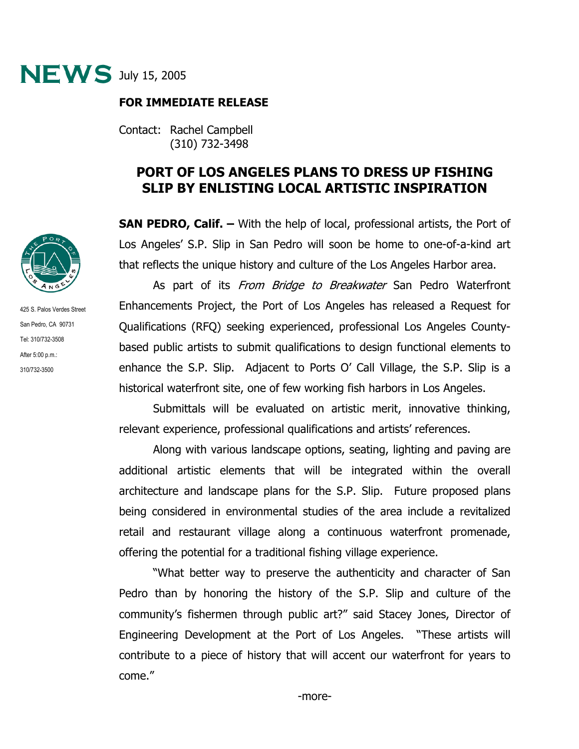

## **FOR IMMEDIATE RELEASE**

Contact: Rachel Campbell (310) 732-3498

## **PORT OF LOS ANGELES PLANS TO DRESS UP FISHING SLIP BY ENLISTING LOCAL ARTISTIC INSPIRATION**

**SAN PEDRO, Calif. –** With the help of local, professional artists, the Port of Los Angeles' S.P. Slip in San Pedro will soon be home to one-of-a-kind art that reflects the unique history and culture of the Los Angeles Harbor area.

As part of its *From Bridge to Breakwater* San Pedro Waterfront Enhancements Project, the Port of Los Angeles has released a Request for Qualifications (RFQ) seeking experienced, professional Los Angeles Countybased public artists to submit qualifications to design functional elements to enhance the S.P. Slip. Adjacent to Ports O' Call Village, the S.P. Slip is a historical waterfront site, one of few working fish harbors in Los Angeles.

Submittals will be evaluated on artistic merit, innovative thinking, relevant experience, professional qualifications and artists' references.

Along with various landscape options, seating, lighting and paving are additional artistic elements that will be integrated within the overall architecture and landscape plans for the S.P. Slip. Future proposed plans being considered in environmental studies of the area include a revitalized retail and restaurant village along a continuous waterfront promenade, offering the potential for a traditional fishing village experience.

"What better way to preserve the authenticity and character of San Pedro than by honoring the history of the S.P. Slip and culture of the community's fishermen through public art?" said Stacey Jones, Director of Engineering Development at the Port of Los Angeles. "These artists will contribute to a piece of history that will accent our waterfront for years to come."



425 S. Palos Verdes Street San Pedro, CA 90731 Tel: 310/732-3508 After 5:00 p.m.: 310/732-3500